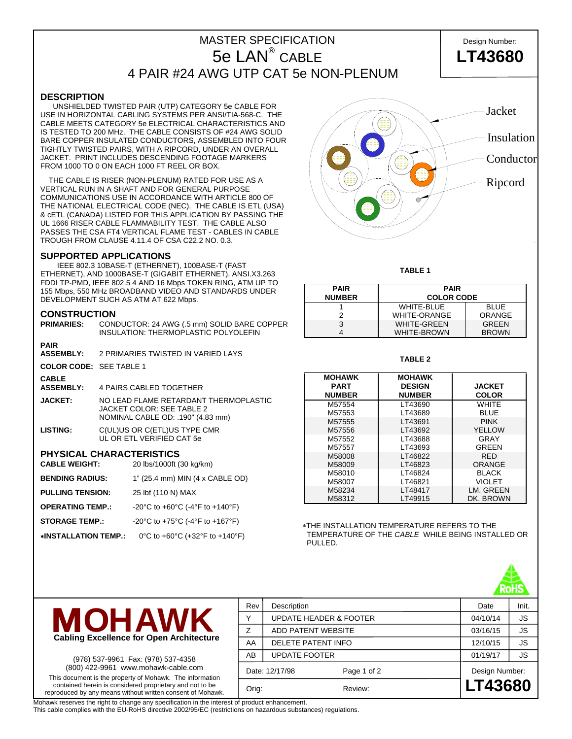# MASTER SPECIFICATION **Design Number:** 5e LAN® 4 PAIR #24 AWG UTP CAT 5e NON-PLENUM

### **DESCRIPTION**

 UNSHIELDED TWISTED PAIR (UTP) CATEGORY 5e CABLE FOR USE IN HORIZONTAL CABLING SYSTEMS PER ANSI/TIA-568-C. THE CABLE MEETS CATEGORY 5e ELECTRICAL CHARACTERISTICS AND IS TESTED TO 200 MHz. THE CABLE CONSISTS OF #24 AWG SOLID BARE COPPER INSULATED CONDUCTORS, ASSEMBLED INTO FOUR TIGHTLY TWISTED PAIRS, WITH A RIPCORD, UNDER AN OVERALL JACKET. PRINT INCLUDES DESCENDING FOOTAGE MARKERS FROM 1000 TO 0 ON EACH 1000 FT REEL OR BOX.

 THE CABLE IS RISER (NON-PLENUM) RATED FOR USE AS A VERTICAL RUN IN A SHAFT AND FOR GENERAL PURPOSE COMMUNICATIONS USE IN ACCORDANCE WITH ARTICLE 800 OF THE NATIONAL ELECTRICAL CODE (NEC). THE CABLE IS ETL (USA) & cETL (CANADA) LISTED FOR THIS APPLICATION BY PASSING THE UL 1666 RISER CABLE FLAMMABILITY TEST. THE CABLE ALSO PASSES THE CSA FT4 VERTICAL FLAME TEST - CABLES IN CABLE TROUGH FROM CLAUSE 4.11.4 OF CSA C22.2 NO. 0.3.

#### **SUPPORTED APPLICATIONS**

 IEEE 802.3 10BASE-T (ETHERNET), 100BASE-T (FAST ETHERNET), AND 1000BASE-T (GIGABIT ETHERNET), ANSI.X3.263 FDDI TP-PMD, IEEE 802.5 4 AND 16 Mbps TOKEN RING, ATM UP TO 155 Mbps, 550 MHz BROADBAND VIDEO AND STANDARDS UNDER DEVELOPMENT SUCH AS ATM AT 622 Mbps.

## **CONSTRUCTION**

| <b>PRIMARIES:</b>              |                                                                                                         | CONDUCTOR: 24 AWG (.5 mm) SOLID BARE COPPER<br>INSULATION: THERMOPLASTIC POLYOLEFIN |  |  |  |  |  |
|--------------------------------|---------------------------------------------------------------------------------------------------------|-------------------------------------------------------------------------------------|--|--|--|--|--|
| <b>PAIR</b>                    |                                                                                                         |                                                                                     |  |  |  |  |  |
| <b>ASSEMBLY:</b>               |                                                                                                         | 2 PRIMARIES TWISTED IN VARIED LAYS                                                  |  |  |  |  |  |
| <b>COLOR CODE: SEE TABLE 1</b> |                                                                                                         |                                                                                     |  |  |  |  |  |
| <b>CABLE</b>                   |                                                                                                         |                                                                                     |  |  |  |  |  |
| <b>ASSEMBLY:</b>               |                                                                                                         | 4 PAIRS CABLED TOGETHER                                                             |  |  |  |  |  |
| <b>JACKET:</b>                 | NO LEAD FLAME RETARDANT THERMOPLASTIC<br>JACKET COLOR: SEE TABLE 2<br>NOMINAL CABLE OD: .190" (4.83 mm) |                                                                                     |  |  |  |  |  |
| <b>LISTING:</b>                | C(UL)US OR C(ETL)US TYPE CMR<br>UL OR ETL VERIFIED CAT 5e                                               |                                                                                     |  |  |  |  |  |
|                                | <b>PHYSICAL CHARACTERISTICS</b>                                                                         |                                                                                     |  |  |  |  |  |
| <b>CABLE WEIGHT:</b>           |                                                                                                         | 20 lbs/1000ft (30 kg/km)                                                            |  |  |  |  |  |
| <b>BENDING RADIUS:</b>         |                                                                                                         | 1" (25.4 mm) MIN (4 x CABLE OD)                                                     |  |  |  |  |  |
| <b>PULLING TENSION:</b>        |                                                                                                         | 25 lbf (110 N) MAX                                                                  |  |  |  |  |  |
| <b>OPERATING TEMP.:</b>        |                                                                                                         | -20°C to +60°C (-4°F to +140°F)                                                     |  |  |  |  |  |
| <b>STORAGE TEMP.:</b>          |                                                                                                         | -20°C to +75°C (-4°F to +167°F)                                                     |  |  |  |  |  |
|                                |                                                                                                         |                                                                                     |  |  |  |  |  |



LT43680

**TABLE 1** 

| <b>PAIR</b><br><b>NUMBER</b> | <b>PAIR</b><br><b>COLOR CODE</b> |              |  |  |  |  |
|------------------------------|----------------------------------|--------------|--|--|--|--|
|                              | <b>WHITE-BLUE</b>                | <b>BLUE</b>  |  |  |  |  |
|                              | <b>WHITE-ORANGE</b>              | ORANGE       |  |  |  |  |
|                              | <b>WHITE-GREEN</b>               | <b>GREEN</b> |  |  |  |  |
|                              | <b>WHITE-BROWN</b>               | <b>BROWN</b> |  |  |  |  |

#### **TABLE 2**

| <b>MOHAWK</b><br><b>PART</b> | <b>MOHAWK</b><br><b>DESIGN</b> | <b>JACKET</b> |
|------------------------------|--------------------------------|---------------|
| <b>NUMBER</b>                | <b>NUMBER</b>                  | <b>COLOR</b>  |
| M57554                       | LT43690                        | WHITE         |
| M57553                       | LT43689                        | <b>BLUE</b>   |
| M57555                       | LT43691                        | <b>PINK</b>   |
| M57556                       | LT43692                        | <b>YELLOW</b> |
| M57552                       | LT43688                        | GRAY          |
| M57557                       | LT43693                        | <b>GREEN</b>  |
| M58008                       | LT46822                        | <b>RED</b>    |
| M58009                       | LT46823                        | ORANGE        |
| M58010                       | LT46824                        | <b>BLACK</b>  |
| M58007                       | LT46821                        | <b>VIOLET</b> |
| M58234                       | LT48417                        | LM. GREEN     |
| M58312                       | LT49915                        | DK. BROWN     |

∗THE INSTALLATION TEMPERATURE REFERS TO THE TEMPERATURE OF THE *CABLE* WHILE BEING INSTALLED OR PULLED.





∗**INSTALLATION TEMP.:** 0°C to +60°C (+32°F to +140°F)

(978) 537-9961 Fax: (978) 537-4358 (800) 422-9961 www.mohawk-cable.com This document is the property of Mohawk. The information contained herein is considered proprietary and not to be reproduced by any means without written consent of Mohawk.

Rev Description **Description** Date Init. Y | UPDATE HEADER & FOOTER | 04/10/14 | JS Z ADD PATENT WEBSITE 33/16/15 33/16/15 AA DELETE PATENT INFO 12/10/15 JS AB UPDATE FOOTER AB THE LOT ON A LOT US. Date: 12/17/98 Page 1 of 2 Design Number: Orig: Review: **LT43680**

Mohawk reserves the right to change any specification in the interest of product enhancement.

This cable complies with the EU-RoHS directive 2002/95/EC (restrictions on hazardous substances) regulations.